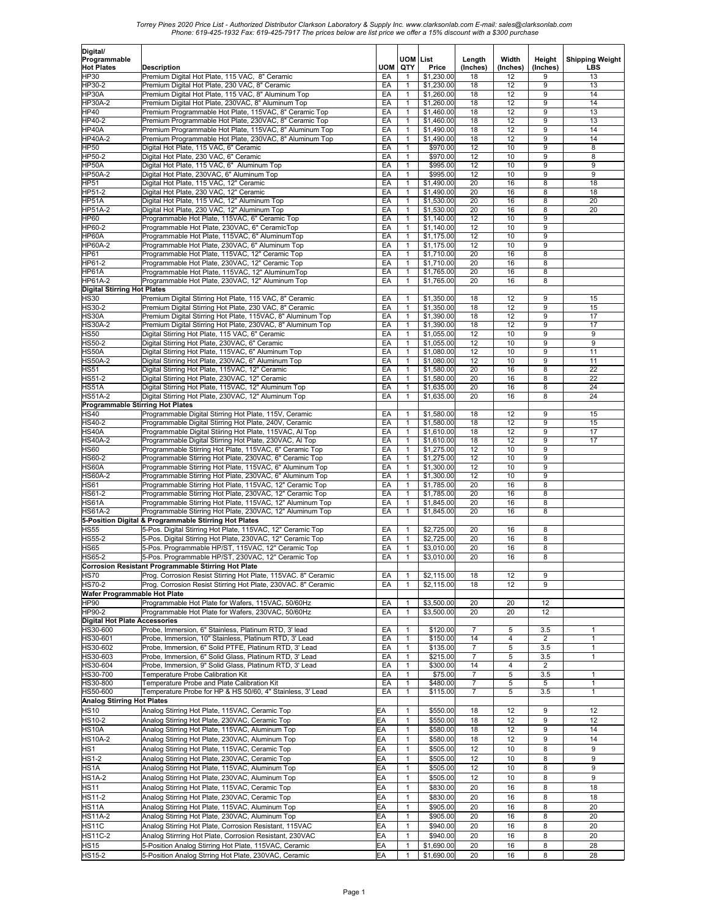**Description UOM** HP30 Premium Digital Hot Plate, 115 VAC, 8" Ceramic EA 1 \$1,230.00 18 12 9 13<br>HP30-2 Premium Digital Hot Plate 230 VAC 8" Ceramic EA 1 \$1,230.00 18 12 9 13 HP30-2 Premium Digital Hot Plate, 230 VAC, 8" Ceramic New York New York 1, 230.00 18 12 9 13<br>HP30A Premium Digital Hot Plate, 115 VAC, 8" Aluminum Top FA 1 \$1,260,00 18 12 9 14 HP30A Premium Digital Hot Plate, 115 VAC, 8" Aluminum Top EA 1 \$1,260.00 18 12 9 14 HP30A-2 Premium Digital Hot Plate, 230VAC, 8" Aluminum Top EA 1 \$1,260.00 18 12 9 14<br>HP40 Premium Programmable Hot Plate, 115VAC, 8" Ceramic Top EA 1 \$1,460.00 18 12 9 13 HP40 Premium Programmable Hot Plate, 115VAC, 8" Ceramic Top Premium Programmable Hot Plate 230VAC. 8" Ceramic Top HP40-2 Premium Programmable Hot Plate, 230VAC, 8" Ceramic Top EA 1 \$1,460.00 18 12 9 13 Premium Programmable Hot Plate, 115VAC, 8" Aluminum Top LEA N 1 \$1,490.00 N 18 1 12 1 9 1 14 HP40A-2 Premium Programmable Hot Plate, 230VAC, 8" Aluminum Top EA 1 \$1,490.00 18 12 9 14 P50 Digital Hot Plate, 115 VAC, 6" Ceramic Carries Canada and EA 1 \$970.00 12 10 9 8 8<br>P50-2 Digital Hot Plate, 230 VAC, 6" Ceramic EA 1 \$970.00 12 10 9 8 P50-2 Digital Hot Plate, 230 VAC, 6" Ceramic New York New York New York New York New York New York New York Ne<br>P50A Digital Hot Plate, 115 VAC, 6" Aluminum Top EA 1 \$995.00 12 10 9 9 9 HP50A Digital Hot Plate, 115 VAC, 6" Aluminum Top EA 1 \$995.00 12 10 9 9 1950A-2 Digital Hot Plate, 230VAC, 6" Aluminum Top 1990 EA 1 \$995.00 12 10 9 9 9<br>1951 Digital Hot Plate, 115 VAC, 12" Ceramic 1990 EA 1 \$1,490.00 20 16 8 18 HP51 Digital Hot Plate, 115 VAC, 12" Ceramic EA 1 \$1,490.00 20 16<br>HP51-2 Digital Hot Plate, 230 VAC, 12" Ceramic EA 1 \$1,490.00 20 16 Digital Hot Plate, 230 VAC, 12" Ceramic **EA 1** \$1,490.00 20 16 8 18 HP51A Digital Hot Plate, 115 VAC, 12" Aluminum Top EA 1 \$1,530.00 20 16 8 20  $\overline{\text{Digital Hot Plate}}$ , 230 VAC, 12" Aluminum Top  $\overline{\text{EA}}$  1  $\overline{\text{ $31,530.001} \quad 20}$  16 8 HP60 Programmable Hot Plate, 115VAC, 6" Ceramic Top | EA | 1 | \$1,140.00 12 | 10 | 9 HP60-2 EA 1 \$1,140.00 12 10 9 Programmable Hot Plate, 230VAC, 6" CeramicTop HP60A |Programmable Hot Plate, 115VAC, 6" AluminumTop | EA | 1 |\$1,175.00| 12 | 10 | 9 HP60A-2 Programmable Hot Plate, 230VAC, 6" Aluminum Top EA 1 \$1,175.00 12 10 9<br>HP61 Programmable Hot Plate, 115VAC, 12" Ceramic Top EA 1 \$1,710.00 20 16 8 HP61 Programmable Hot Plate, 115VAC, 12" Ceramic Top EA 1 \$1,710.00 20 16 8<br>HP61-2 Programmable Hot Plate, 230VAC, 12" Ceramic Top EA 1 \$1,710.00 20 16 8 HP61-2 Programmable Hot Plate, 230VAC, 12" Ceramic Top EA 1 \$1,710.00 20 16 8<br>HP61A Programmable Hot Plate. 115VAC. 12" Aluminum Top EA 1 \$1.765.00 20 16 8 HP61A |Programmable Hot Plate, 115VAC, 12" AluminumTop | EA | 1 | \$1,765.00| 20 | 16 | 8 HP61A-2 Programmable Hot Plate, 230VAC, 12" Aluminum Top EA 1 \$1,765.00 20 16 8 **Digital Stirring Hot Plates** HS30 Premium Digital Stirring Hot Plate, 115 VAC, 8" Ceramic EA 1 \$1,350.00 18 12 9 15 HS30-2 Premium Digital Stirring Hot Plate, 230 VAC, 8" Ceramic EA 1 \$1,350.00 18 12 9 15 HS30A Premium Digital Stirring Hot Plate, 115VAC, 8" Aluminum Top EA 1 \$1,390.00 18 12 9 17<br>HS30A-2 Premium Digital Stirring Hot Plate. 230VAC. 8" Aluminum Top EA 1 \$1.390.00 18 12 9 17 HS30A-2 Premium Digital Stirring Hot Plate, 230VAC, 8" Aluminum Top EA 1 \$1,390.00 18 12 9 17 HS50 Digital Stirring Hot Plate, 115 VAC, 6" Ceramic EA | 1 | \$1,055.00 12 | 10 | 9 | 9 HS50-2 Digital Stirring Hot Plate, 230VAC, 6" Ceramic EA 1 \$1,055.00 12 10 9 9 9<br>HS50A Digital Stirring Hot Plate, 115VAC, 6" Aluminum Top EA 1 \$1,080.00 12 10 9 11 HS50A Digital Stirring Hot Plate, 115VAC, 6" Aluminum Top EA 1 \$1,080.00 12 10 9 11 igital Stirring Hot Plate, 230VAC, 6" Aluminum Top HS51 Digital Stirring Hot Plate, 115VAC, 12" Ceramic **EA 1** \$1,580.00 20 16 8 22 HS51-2 Digital Stirring Hot Plate, 230VAC, 12" Ceramic EA 1 \$1,580.00 20 16 8 22 Digital Stirring Hot Plate, 115VAC, 12" Aluminum Top HS51A-2 Digital Stirring Hot Plate, 230VAC, 12" Aluminum Top EA N 1 \$1,635.00 20 16 8 24 **Programmable Stirring Hot Plates** HS40 Programmable Digital Stirring Hot Plate, 115V, Ceramic EA 1 \$1,580.00 18 12 9 15 HS40-2 Programmable Digital Stirring Hot Plate, 240V, Ceramic EA 1 \$1,580.00 18 12 9 15 HS40A |Programmable Digital Stiiring Hot Plate, 115VAC, Al Top | EA | 1 |\$1,610.00| 18 | 12 | 9 | 17 HS40A-2 Programmable Digital Stirring Hot Plate, 230VAC, Al Top EA 1 \$1,610.00 18 12 9 17<br>HS60 Programmable Stirring Hot Plate, 115VAC, 6" Ceramic Top EA 1 \$1,275.00 12 10 9 Programmable Stirring Hot Plate, 115VAC, 6" Ceramic Top **EA 1 \$1,275.00** 12 10 9 HS60-2 Programmable Stirring Hot Plate, 230VAC, 6" Ceramic Top EA 1 \$1,275.00 12 10 9 HS60A Programmable Stirring Hot Plate, 115VAC, 6" Aluminum Top EA 1 \$1,300.00 12 10 9<br>HS60A-2 Programmable Stirring Hot Plate. 230VAC. 6" Aluminum Top EA 1 \$1.300.00 12 10 9 Programmable Stirring Hot Plate, 230VAC, 6" Aluminum Top **EA 1 \$1,300.00** 12 10 9 HS61 Programmable Stirring Hot Plate, 115VAC, 12" Ceramic Top **EA** 1 \$1,785.00 20 16 8 HS61-2 Programmable Stirring Hot Plate, 230VAC, 12" Ceramic Top EA 1 \$1,785.00 20 16 8 HS61A Programmable Stirring Hot Plate, 115VAC, 12" Aluminum Top EA | 1 | \$1,845.00 20 | 16 | 8 HS61A-2 Programmable Stirring Hot Plate, 230VAC, 12" Aluminum Top I BA 1 \$1,845.00 20 16 8 **5-Position Digital & Programmable Stirring Hot Plates** HS55 |5-Pos. Digital Stirring Hot Plate, 115VAC, 12" Ceramic Top EA | 1 \$2,725.00 20 16 | 8 HS55-2 |5-Pos. Digital Stirring Hot Plate, 230VAC, 12" Ceramic Top | EA | 1 | \$2,725.00| 20 | 16 | 8 HS65 |5-Pos. Programmable HP/ST, 115VAC, 12" Ceramic Top | EA | 1 \$3,010.00| 20 | 16 | 8 HS65-2 |5-Pos. Programmable HP/ST, 230VAC, 12" Ceramic Top | EA | 1 | \$3,010.00| 20 | 16 | 8 **Corrosion Resistant Programmable Stirring Hot Plate** HS70 EA 1 \$2,115.00 18 12 9 Prog. Corrosion Resist Stirring Hot Plate, 115VAC. 8" Ceramic HS70-2 Prog. Corrosion Resist Stirring Hot Plate, 230VAC. 8" Ceramic The Annume HS2,115.00 18 12 9 **Wafer Programmable Hot Plate** HP90 Programmable Hot Plate for Wafers, 115VAC, 50/60Hz EA 1 \$3,500.00 20 20 12 HP90-2 Programmable Hot Plate for Wafers, 230VAC, 50/60Hz EA 1 \$3,500.00 20 20 12 **Digital Hot Plate Accessories** Probe, Immersion, 6" Stainless, Platinum RTD, 3' lead **EA** 1 \$120.00 7 5 3.5 HS30-601 Probe, Immersion, 10" Stainless, Platinum RTD, 3' Lead EA 1 \$150.00 14 4 2 1 HS30-602 Probe, Immersion, 6" Solid PTFE, Platinum RTD, 3' Lead EA 1 \$135.00 7 5 3.5 1<br>HS30-603 Probe, Immersion, 6" Solid Glass, Platinum RTD, 3' Lead EA 1 \$215.00 7 5 3.5 1 HS30-603 Probe, Immersion, 6" Solid Glass, Platinum RTD, 3' Lead EA 1 \$215.00 7 5 3.5 1 HS30-604 Probe, Immersion, 9" Solid Glass, Platinum RTD, 3' Lead EA 1 \$300.00 14 4 2<br>HS30-700 Temperature Probe Calibration Kit Temperature Probe Calibration Kit  $\overline{BA}$  |  $\overline{BA}$  |  $\overline{1}$  \$75.00  $\overline{7}$  |  $\overline{5}$  |  $\overline{3.5}$  |  $\overline{1}$ HS30-800 Temperature Probe and Plate Calibration Kit FA 1 \$480.00 7 5 5 1 1<br>HS50-600 Temperature Probe for HP & HS 50/60.4" Stainless. 3' Lead FA 1 \$115.00 7 5 3.5 1  $\frac{1}{50}$  HS50-600 Temperature Probe for HP & HS 50/60, 4" Stainless, 3' Lead FA 1 \$115.00 7 5 3.5 1 1 **Analog Stirring Hot Plates** HS10 Analog Stirring Hot Plate, 115VAC, Ceramic Top EA 1 \$550.00 18 12 9 12 HS10-2 Analog Stirring Hot Plate, 230VAC, Ceramic Top **EA** 1 \$550.00 18 12 9 12 HS10A Analog Stirring Hot Plate, 115VAC, Aluminum Top EA 1 \$580.00 18 12 9 12 14 HS10A-2 Analog Stirring Hot Plate, 230VAC, Aluminum Top EA 1 \$580.00 18 12 9 14 HS1 Analog Stirring Hot Plate, 115VAC, Ceramic Top EA 1 \$505.00 12 10 8 9 HS1-2 Analog Stirring Hot Plate, 230VAC, Ceramic Top EA 1 \$505.00 12 10 8 9 HS1A Analog Stirring Hot Plate, 115VAC, Aluminum Top EA 1 \$505.00 12 10 8 9 HS1A-2 Analog Stirring Hot Plate, 230VAC, Aluminum Top EA 1 \$505.00 12 10 8 9 HS11 Analog Stirring Hot Plate, 115VAC, Ceramic Top EA 1 \$830.00 20 16 8 18 HS11-2 Analog Stirring Hot Plate, 230VAC, Ceramic Top **EA** 1 \$830.00 20 16 8 18 HS11A Analog Stirring Hot Plate, 115VAC, Aluminum Top **EA** 1 \$905.00 20 16 8 20 HS11A-2 Analog Stirring Hot Plate, 230VAC, Aluminum Top EA 1 \$905.00 20 16 8 20 HS11C Analog Stirring Hot Plate, Corrosion Resistant, 115VAC EA 1 \$940.00 20 16 8 20 HS11C-2 Analog Stirrring Hot Plate, Corrosion Resistant, 230VAC EA | 1 \$940.00 20 16 8 20 HS15 5-Position Analog Stirring Hot Plate, 115VAC, Ceramic **EA** 1 \$1,690.00 20 16 8 28 HS15-2 |5-Position Analog Strring Hot Plate, 230VAC, Ceramic |EA | 1 |\$1,690.00| 20 | 16 | 8 | 28 **Digital/ Programmable Hot Plates UOM List QTY Price Length (Inches) Width (Inches) Height (Inches) Shipping Weight LBS**

| Torrey Pines 2020 Price List - Authorized Distributor Clarkson Laboratory & Supply Inc. www.clarksonlab.com E-mail: sales@clarksonlab.com |
|-------------------------------------------------------------------------------------------------------------------------------------------|
| Phone: 619-425-1932 Fax: 619-425-7917 The prices below are list price we offer a 15% discount with a \$300 purchase                       |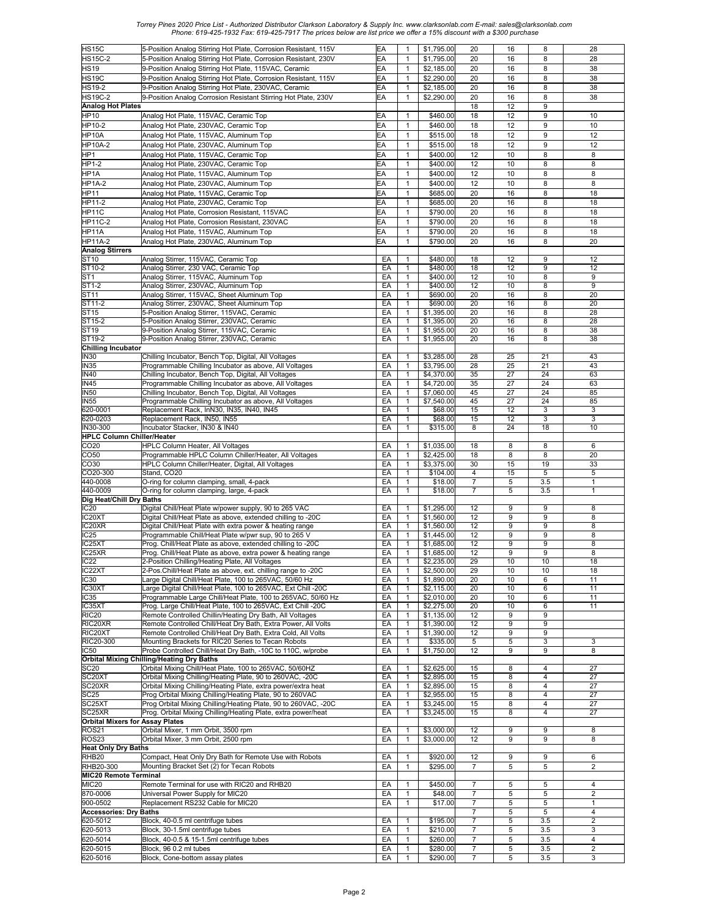Torrey Pines 2020 Price List - Authorized Distributor Clarkson Laboratory & Supply Inc. www.clarksonlab.com E-mail: sales@clarksonlab.com<br>Phone: 619-425-1932 Fax: 619-425-7917 The prices below are list price we offer a 15%

| <b>HS15C</b>                           | 5-Position Analog Stirring Hot Plate, Corrosion Resistant, 115V | EA | $\mathbf{1}$ | \$1,795.00 | 20               | 16             | 8              | 28                      |
|----------------------------------------|-----------------------------------------------------------------|----|--------------|------------|------------------|----------------|----------------|-------------------------|
| <b>HS15C-2</b>                         | 5-Position Analog Stirring Hot Plate, Corrosion Resistant, 230V | EA | $\mathbf{1}$ | \$1,795.00 | 20               | 16             | 8              | 28                      |
| HS19                                   | 9-Position Analog Stirring Hot Plate, 115VAC, Ceramic           | EΑ | $\mathbf{1}$ | \$2,185.00 | 20               | 16             | 8              | 38                      |
|                                        |                                                                 |    |              |            |                  |                |                |                         |
| <b>HS19C</b>                           | 9-Position Analog Stirring Hot Plate, Corrosion Resistant, 115V | EΑ | $\mathbf{1}$ | \$2,290.00 | 20               | 16             | 8              | 38                      |
| HS19-2                                 | 9-Position Analog Stirring Hot Plate, 230VAC, Ceramic           | EA | $\mathbf{1}$ | \$2,185.00 | 20               | 16             | 8              | 38                      |
| <b>HS19C-2</b>                         | 9-Position Analog Corrosion Resistant Stirring Hot Plate, 230V  | EA | $\mathbf{1}$ | \$2,290.00 | 20               | 16             | 8              | 38                      |
| <b>Analog Hot Plates</b>               |                                                                 |    |              |            | 18               | 12             | 9              |                         |
| HP10                                   | Analog Hot Plate, 115VAC, Ceramic Top                           | EA | 1            | \$460.00   | 18               | 12             | 9              | 10                      |
| HP10-2                                 | Analog Hot Plate, 230VAC, Ceramic Top                           | EA | 1            | \$460.00   | 18               | 12             | 9              | 10                      |
| <b>HP10A</b>                           | Analog Hot Plate, 115VAC, Aluminum Top                          | EA | $\mathbf{1}$ | \$515.00   | 18               | 12             | 9              | 12                      |
|                                        |                                                                 |    |              |            |                  |                |                |                         |
| HP10A-2                                | Analog Hot Plate, 230VAC, Aluminum Top                          | EA | $\mathbf{1}$ | \$515.00   | 18               | 12             | 9              | 12                      |
| HP <sub>1</sub>                        | Analog Hot Plate, 115VAC, Ceramic Top                           | EΑ | 1            | \$400.00   | 12               | 10             | 8              | 8                       |
| HP1-2                                  | Analog Hot Plate, 230VAC, Ceramic Top                           | EA | $\mathbf{1}$ | \$400.00   | 12               | 10             | 8              | 8                       |
| HP1A                                   | Analog Hot Plate, 115VAC, Aluminum Top                          | EA | $\mathbf{1}$ | \$400.00   | 12               | 10             | 8              | 8                       |
| <b>HP1A-2</b>                          | Analog Hot Plate, 230VAC, Aluminum Top                          | EA | $\mathbf{1}$ | \$400.00   | 12               | 10             | 8              | 8                       |
| HP11                                   | Analog Hot Plate, 115VAC, Ceramic Top                           | EA | $\mathbf{1}$ | \$685.00   | 20               | 16             | 8              | 18                      |
| HP11-2                                 | Analog Hot Plate, 230VAC, Ceramic Top                           | EA | $\mathbf{1}$ | \$685.00   | 20               | 16             | 8              | 18                      |
|                                        |                                                                 |    |              |            |                  |                |                |                         |
| HP11C                                  | Analog Hot Plate, Corrosion Resistant, 115VAC                   | EA | $\mathbf{1}$ | \$790.00   | 20               | 16             | 8              | 18                      |
| <b>HP11C-2</b>                         | Analog Hot Plate, Corrosion Resistant, 230VAC                   | EA | $\mathbf{1}$ | \$790.00   | 20               | 16             | 8              | 18                      |
| <b>HP11A</b>                           | Analog Hot Plate, 115VAC, Aluminum Top                          | EA | $\mathbf{1}$ | \$790.00   | 20               | 16             | 8              | 18                      |
| <b>HP11A-2</b>                         | Analog Hot Plate, 230VAC, Aluminum Top                          | EA | $\mathbf{1}$ | \$790.00   | 20               | 16             | 8              | 20                      |
| <b>Analog Stirrers</b>                 |                                                                 |    |              |            |                  |                |                |                         |
| ST10                                   | Analog Stirrer, 115VAC, Ceramic Top                             | EA | 1            | \$480.00   | 18               | 12             | 9              | 12                      |
| ST10-2                                 | Analog Stirrer, 230 VAC, Ceramic Top                            | EA | $\mathbf{1}$ | \$480.00   | 18               | 12             | 9              | 12                      |
| ST <sub>1</sub>                        | Analog Stirrer, 115VAC, Aluminum Top                            | EA | $\mathbf{1}$ | \$400.00   | 12               | 10             | 8              | 9                       |
| $ST1-2$                                | Analog Stirrer, 230VAC, Aluminum Top                            | EA | $\mathbf{1}$ | \$400.00   | 12               | 10             | 8              | 9                       |
| ST11                                   | Analog Stirrer, 115VAC, Sheet Aluminum Top                      | EA | $\mathbf{1}$ | \$690.00   | 20               | 16             | 8              | 20                      |
| ST11-2                                 | Analog Stirrer, 230VAC, Sheet Aluminum Top                      | EA | 1            | \$690.00   | 20               | 16             | 8              | 20                      |
|                                        | 5-Position Analog Stirrer, 115VAC, Ceramic                      |    |              |            |                  |                |                |                         |
| ST15                                   |                                                                 | EA | $\mathbf{1}$ | \$1,395.00 | 20               | 16             | 8              | 28                      |
| ST15-2                                 | 5-Position Analog Stirrer, 230VAC, Ceramic                      | EA | 1            | \$1,395.00 | 20               | 16             | 8              | 28                      |
| ST19                                   | 9-Position Analog Stirrer, 115VAC, Ceramic                      | EA | $\mathbf{1}$ | \$1,955.00 | 20               | 16             | 8              | 38                      |
| ST19-2                                 | 9-Position Analog Stirrer, 230VAC, Ceramic                      | EA | $\mathbf{1}$ | \$1,955.00 | 20               | 16             | 8              | 38                      |
| <b>Chilling Incubator</b>              |                                                                 |    |              |            |                  |                |                |                         |
| <b>IN30</b>                            | Chilling Incubator, Bench Top, Digital, All Voltages            | EA | $\mathbf{1}$ | \$3,285.00 | 28               | 25             | 21             | 43                      |
| <b>IN35</b>                            | Programmable Chilling Incubator as above, All Voltages          | EA | $\mathbf{1}$ | \$3,795.00 | 28               | 25             | 21             | 43                      |
| <b>IN40</b>                            | Chilling Incubator, Bench Top, Digital, All Voltages            | EA | $\mathbf{1}$ | \$4,370.00 | 35               | 27             | 24             | 63                      |
| <b>IN45</b>                            | Programmable Chilling Incubator as above, All Voltages          | EA | 1            | \$4,720.00 | 35               | 27             | 24             | 63                      |
| <b>IN50</b>                            | Chilling Incubator, Bench Top, Digital, All Voltages            | EA | $\mathbf{1}$ | \$7,060.00 | 45               | 27             | 24             | 85                      |
| <b>IN55</b>                            | Programmable Chilling Incubator as above, All Voltages          | EA | 1            | \$7,540.00 | 45               | 27             | 24             | 85                      |
| 620-0001                               | Replacement Rack, InN30, IN35, IN40, IN45                       | EA | $\mathbf{1}$ | \$68.00    | 15               | 12             | 3              | 3                       |
| 620-0203                               | Replacement Rack, IN50, IN55                                    | EA | $\mathbf{1}$ | \$68.00    | 15               | 12             | 3              | 3                       |
| IN30-300                               | Incubator Stacker, IN30 & IN40                                  | EA | $\mathbf{1}$ | \$315.00   | 8                | 24             | 18             | 10                      |
| <b>HPLC Column Chiller/Heater</b>      |                                                                 |    |              |            |                  |                |                |                         |
|                                        |                                                                 |    |              |            |                  |                |                |                         |
| CO20                                   | HPLC Column Heater, All Voltages                                | EA | $\mathbf{1}$ | \$1,035.00 | 18               | 8              | 8              | 6                       |
| CO50                                   | Programmable HPLC Column Chiller/Heater, All Voltages           | EA | $\mathbf{1}$ | \$2,425.00 | 18               | 8              | 8              | 20                      |
| CO30                                   | HPLC Column Chiller/Heater, Digital, All Voltages               | EA | $\mathbf{1}$ | \$3,375.00 | 30               | 15             | 19             | 33                      |
| CO20-300                               | Stand, CO20                                                     | EA | $\mathbf{1}$ | \$104.00   | 4                | 15             | 5              | 5                       |
| 440-0008                               | O-ring for column clamping, small, 4-pack                       | EA | $\mathbf{1}$ | \$18.00    | $\overline{7}$   | 5              | 3.5            | 1                       |
| 440-0009                               | O-ring for column clamping, large, 4-pack                       | EA | $\mathbf{1}$ | \$18.00    | $\overline{7}$   | 5              | 3.5            | $\mathbf{1}$            |
| Dig Heat/Chill Dry Baths               |                                                                 |    |              |            |                  |                |                |                         |
| <b>IC20</b>                            | Digital Chill/Heat Plate w/power supply, 90 to 265 VAC          | EA | 1            | \$1,295.00 | 12               | 9              | 9              | 8                       |
| IC20XT                                 | Digital Chill/Heat Plate as above, extended chilling to -20C    | EA | $\mathbf{1}$ | \$1,560.00 | 12               | 9              | 9              | 8                       |
| IC20XR                                 | Digital Chill/Heat Plate with extra power & heating range       | EA | 1            | \$1,560.00 | 12               | 9              | 9              | 8                       |
| IC <sub>25</sub>                       | Programmable Chill/Heat Plate w/pwr sup, 90 to 265 V            | EA | $\mathbf{1}$ | \$1,445.00 | 12               | $\overline{9}$ | 9              | 8                       |
| IC25XT                                 | Prog. Chill/Heat Plate as above, extended chilling to -20C      | EA | $\mathbf{1}$ | \$1,685.00 | 12               | 9              | 9              | 8                       |
| IC25XR                                 | Prog. Chill/Heat Plate as above, extra power & heating range    | EA | $\mathbf{1}$ | \$1,685.00 | 12               | $\overline{9}$ | 9              | 8                       |
| IC <sub>22</sub>                       | 2-Position Chilling/Heating Plate, All Voltages                 | EA | 1            | \$2,235,00 | 29               | 10             | 10             | 18                      |
| IC <sub>22</sub> XT                    | 2-Pos.Chill/Heat Plate as above, ext. chilling range to -20C    | EA | $\mathbf{1}$ | \$2,500.00 | 29               | 10             | 10             | 18                      |
| IC30                                   | Large Digital Chill/Heat Plate, 100 to 265VAC, 50/60 Hz         | EA | $\mathbf{1}$ | \$1,890.00 | 20               | 10             | 6              | 11                      |
|                                        |                                                                 |    |              | \$2,115.00 |                  |                |                |                         |
| IC30XT                                 | Large Digital Chill/Heat Plate, 100 to 265VAC, Ext Chill -20C   | EA | 1            |            | 20               | 10             | 6              | 11                      |
| IC35                                   | Programmable Large Chill/Heat Plate, 100 to 265VAC, 50/60 Hz    | EA | $\mathbf{1}$ | \$2,010.00 | 20               | 10             | 6              | 11                      |
| IC35XT                                 | Prog. Large Chill/Heat Plate, 100 to 265VAC, Ext Chill -20C     | EA | 1            | \$2,275.00 | 20               | 10             | 6              | 11                      |
| <b>RIC20</b>                           | Remote Controlled Chillin/Heating Dry Bath, All Voltages        | EA | 1            | \$1,135.00 | 12               | $\overline{9}$ | 9              |                         |
| RIC20XR                                | Remote Controlled Chill/Heat Dry Bath, Extra Power, All Volts   | EA | 1            | \$1,390.00 | 12               | 9              | 9              |                         |
| RIC <sub>20</sub> XT                   | Remote Controlled Chill/Heat Dry Bath, Extra Cold, All Volts    | EA | $\mathbf{1}$ | \$1,390.00 | 12               | $\overline{9}$ | 9              |                         |
| RIC20-300                              | Mounting Brackets for RIC20 Series to Tecan Robots              | EA | $\mathbf{1}$ | \$335.00   | 5                | 5              | 3              | 3                       |
| IC50                                   | Probe Controlled Chill/Heat Dry Bath, -10C to 110C, w/probe     | EA | 1            | \$1,750.00 | 12               | 9              | 9              | 8                       |
|                                        | <b>Orbital Mixing Chilling/Heating Dry Baths</b>                |    |              |            |                  |                |                |                         |
| <b>SC20</b>                            | Orbital Mixing Chill/Heat Plate, 100 to 265VAC, 50/60HZ         | EA | 1            | \$2,625.00 | 15               | 8              | 4              | 27                      |
| SC <sub>20</sub> XT                    | Orbital Mixing Chilling/Heating Plate, 90 to 260VAC, -20C       | EA | $\mathbf{1}$ | \$2,895.00 | 15               | 8              | $\overline{4}$ | 27                      |
| SC20XR                                 | Orbital Mixing Chilling/Heating Plate, extra power/extra heat   | EA | 1            | \$2,895.00 | 15               | 8              | $\overline{4}$ | 27                      |
| SC <sub>25</sub>                       | Prog Orbital Mixing Chilling/Heating Plate, 90 to 260VAC        | EA | 1            | \$2,955.00 | 15               | $\overline{8}$ | $\overline{4}$ | 27                      |
| SC <sub>25</sub> XT                    | Prog Orbital Mixing Chilling/Heating Plate, 90 to 260VAC, -20C  | EA | 1            | \$3,245.00 | 15               | 8              | $\overline{4}$ | 27                      |
| SC25XR                                 | Prog. Orbital Mixing Chilling/Heating Plate, extra power/heat   | EA | $\mathbf{1}$ | \$3,245.00 | 15               | 8              | 4              | 27                      |
| <b>Orbital Mixers for Assay Plates</b> |                                                                 |    |              |            |                  |                |                |                         |
| <b>ROS21</b>                           | Orbital Mixer, 1 mm Orbit, 3500 rpm                             | EA | $\mathbf{1}$ | \$3,000.00 | 12               | 9              | 9              | 8                       |
| ROS23                                  | Orbital Mixer, 3 mm Orbit, 2500 rpm                             | EA | $\mathbf{1}$ | \$3,000.00 | 12               | 9              | 9              | 8                       |
|                                        |                                                                 |    |              |            |                  |                |                |                         |
| <b>Heat Only Dry Baths</b>             |                                                                 |    |              |            |                  |                |                |                         |
| RHB20                                  | Compact, Heat Only Dry Bath for Remote Use with Robots          | EA | $\mathbf{1}$ | \$920.00   | 12               | 9              | 9              | 6                       |
| RHB20-300                              | Mounting Bracket Set (2) for Tecan Robots                       | EA | 1            | \$295.00   | $\overline{7}$   | 5              | 5              | $\overline{c}$          |
| <b>MIC20 Remote Terminal</b>           |                                                                 |    |              |            |                  |                |                |                         |
| <b>MIC20</b>                           | Remote Terminal for use with RIC20 and RHB20                    | EA | $\mathbf{1}$ | \$450.00   | $\overline{7}$   | 5              | 5              | 4                       |
| 870-0006                               | Universal Power Supply for MIC20                                | EA | $\mathbf{1}$ | \$48.00    | $\overline{7}$   | 5              | 5              | $\overline{\mathbf{c}}$ |
| 900-0502                               | Replacement RS232 Cable for MIC20                               | EA | $\mathbf{1}$ | \$17.00    | $\overline{7}$   | 5              | 5              | 1                       |
| <b>Accessories: Dry Baths</b>          |                                                                 |    |              |            | $\overline{7}$   | 5              | 5              | 4                       |
| 620-5012                               | Block, 40-0.5 ml centrifuge tubes                               | EA | $\mathbf{1}$ | \$195.00   | $\overline{7}$   | 5              | 3.5            | 2                       |
| 620-5013                               | Block, 30-1.5ml centrifuge tubes                                | EA | $\mathbf{1}$ | \$210.00   | $\boldsymbol{7}$ | 5              | 3.5            | 3                       |
| 620-5014                               | Block, 40-0.5 & 15-1.5ml centrifuge tubes                       | EA | 1            | \$260.00   | $\overline{7}$   | 5              | 3.5            | $\overline{4}$          |
|                                        |                                                                 |    |              |            |                  |                |                |                         |
| 620-5015                               | Block, 96 0.2 ml tubes                                          | EA | $\mathbf{1}$ | \$280.00   | $\overline{7}$   | 5              | 3.5            | $\overline{c}$          |
| 620-5016                               | Block, Cone-bottom assay plates                                 | EA | $\mathbf{1}$ | \$290.00   | $\overline{7}$   | 5              | 3.5            | 3                       |